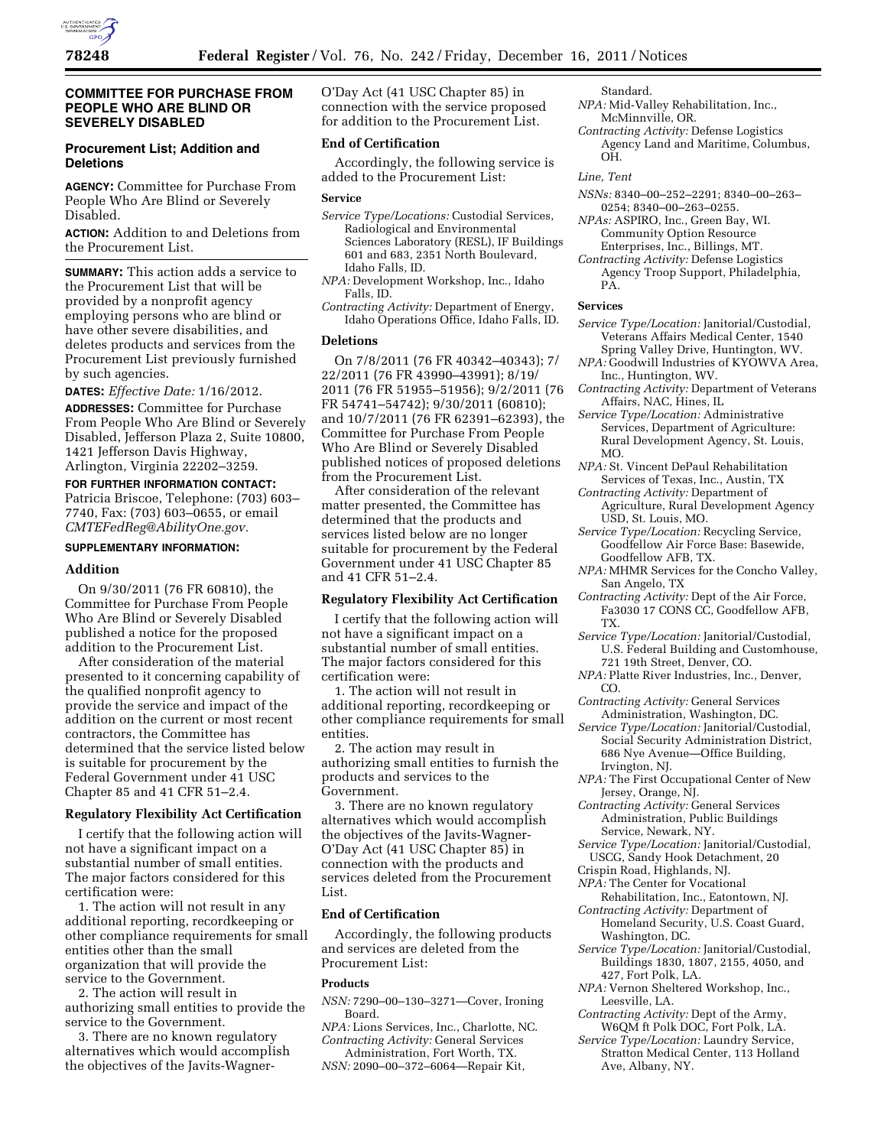

# **COMMITTEE FOR PURCHASE FROM PEOPLE WHO ARE BLIND OR SEVERELY DISABLED**

# **Procurement List; Addition and Deletions**

**AGENCY:** Committee for Purchase From People Who Are Blind or Severely Disabled.

**ACTION:** Addition to and Deletions from the Procurement List.

**SUMMARY:** This action adds a service to the Procurement List that will be provided by a nonprofit agency employing persons who are blind or have other severe disabilities, and deletes products and services from the Procurement List previously furnished by such agencies.

**DATES:** *Effective Date:* 1/16/2012.

**ADDRESSES:** Committee for Purchase From People Who Are Blind or Severely Disabled, Jefferson Plaza 2, Suite 10800, 1421 Jefferson Davis Highway, Arlington, Virginia 22202–3259.

**FOR FURTHER INFORMATION CONTACT:**  Patricia Briscoe, Telephone: (703) 603– 7740, Fax: (703) 603–0655, or email *[CMTEFedReg@AbilityOne.gov.](mailto:CMTEFedReg@AbilityOne.gov)* 

# **SUPPLEMENTARY INFORMATION:**

### **Addition**

On 9/30/2011 (76 FR 60810), the Committee for Purchase From People Who Are Blind or Severely Disabled published a notice for the proposed addition to the Procurement List.

After consideration of the material presented to it concerning capability of the qualified nonprofit agency to provide the service and impact of the addition on the current or most recent contractors, the Committee has determined that the service listed below is suitable for procurement by the Federal Government under 41 USC Chapter 85 and 41 CFR 51–2.4.

# **Regulatory Flexibility Act Certification**

I certify that the following action will not have a significant impact on a substantial number of small entities. The major factors considered for this certification were:

1. The action will not result in any additional reporting, recordkeeping or other compliance requirements for small entities other than the small organization that will provide the service to the Government.

2. The action will result in authorizing small entities to provide the service to the Government.

3. There are no known regulatory alternatives which would accomplish the objectives of the Javits-WagnerO'Day Act (41 USC Chapter 85) in connection with the service proposed for addition to the Procurement List.

## **End of Certification**

Accordingly, the following service is added to the Procurement List:

#### **Service**

- *Service Type/Locations:* Custodial Services, Radiological and Environmental Sciences Laboratory (RESL), IF Buildings 601 and 683, 2351 North Boulevard, Idaho Falls, ID.
- *NPA:* Development Workshop, Inc., Idaho Falls, ID.
- *Contracting Activity:* Department of Energy, Idaho Operations Office, Idaho Falls, ID.

## **Deletions**

On 7/8/2011 (76 FR 40342–40343); 7/ 22/2011 (76 FR 43990–43991); 8/19/ 2011 (76 FR 51955–51956); 9/2/2011 (76 FR 54741–54742); 9/30/2011 (60810); and 10/7/2011 (76 FR 62391–62393), the Committee for Purchase From People Who Are Blind or Severely Disabled published notices of proposed deletions from the Procurement List.

After consideration of the relevant matter presented, the Committee has determined that the products and services listed below are no longer suitable for procurement by the Federal Government under 41 USC Chapter 85 and 41 CFR 51–2.4.

### **Regulatory Flexibility Act Certification**

I certify that the following action will not have a significant impact on a substantial number of small entities. The major factors considered for this certification were:

1. The action will not result in additional reporting, recordkeeping or other compliance requirements for small entities.

2. The action may result in authorizing small entities to furnish the products and services to the Government.

3. There are no known regulatory alternatives which would accomplish the objectives of the Javits-Wagner-O'Day Act (41 USC Chapter 85) in connection with the products and services deleted from the Procurement List.

# **End of Certification**

Accordingly, the following products and services are deleted from the Procurement List:

# **Products**

- *NSN:* 7290–00–130–3271—Cover, Ironing Board.
- *NPA:* Lions Services, Inc., Charlotte, NC. *Contracting Activity:* General Services
- Administration, Fort Worth, TX. *NSN:* 2090–00–372–6064—Repair Kit,

Standard.

- *NPA:* Mid-Valley Rehabilitation, Inc., McMinnville, OR.
- *Contracting Activity:* Defense Logistics Agency Land and Maritime, Columbus, OH.

*Line, Tent* 

- *NSNs:* 8340–00–252–2291; 8340–00–263– 0254; 8340–00–263–0255.
- *NPAs:* ASPIRO, Inc., Green Bay, WI. Community Option Resource Enterprises, Inc., Billings, MT.
- *Contracting Activity:* Defense Logistics Agency Troop Support, Philadelphia, PA.

#### **Services**

- *Service Type/Location:* Janitorial/Custodial, Veterans Affairs Medical Center, 1540 Spring Valley Drive, Huntington, WV.
- *NPA:* Goodwill Industries of KYOWVA Area, Inc., Huntington, WV.
- *Contracting Activity:* Department of Veterans Affairs, NAC, Hines, IL

*Service Type/Location:* Administrative Services, Department of Agriculture: Rural Development Agency, St. Louis, MO.

- *NPA:* St. Vincent DePaul Rehabilitation Services of Texas, Inc., Austin, TX
- *Contracting Activity:* Department of Agriculture, Rural Development Agency USD, St. Louis, MO.
- *Service Type/Location:* Recycling Service, Goodfellow Air Force Base: Basewide, Goodfellow AFB, TX.
- *NPA:* MHMR Services for the Concho Valley, San Angelo, TX
- *Contracting Activity:* Dept of the Air Force, Fa3030 17 CONS CC, Goodfellow AFB, TX.
- *Service Type/Location:* Janitorial/Custodial, U.S. Federal Building and Customhouse, 721 19th Street, Denver, CO.
- *NPA:* Platte River Industries, Inc., Denver, CO.
- *Contracting Activity:* General Services Administration, Washington, DC.
- *Service Type/Location:* Janitorial/Custodial, Social Security Administration District, 686 Nye Avenue—Office Building, Irvington, NJ.
- *NPA:* The First Occupational Center of New Jersey, Orange, NJ.
- *Contracting Activity:* General Services Administration, Public Buildings Service, Newark, NY.
- *Service Type/Location:* Janitorial/Custodial, USCG, Sandy Hook Detachment, 20
- Crispin Road, Highlands, NJ.
- *NPA:* The Center for Vocational
- Rehabilitation, Inc., Eatontown, NJ. *Contracting Activity:* Department of Homeland Security, U.S. Coast Guard,
- Washington, DC. *Service Type/Location:* Janitorial/Custodial, Buildings 1830, 1807, 2155, 4050, and 427, Fort Polk, LA.
- *NPA:* Vernon Sheltered Workshop, Inc., Leesville, LA.
- *Contracting Activity:* Dept of the Army, W6QM ft Polk DOC, Fort Polk, LA.
- *Service Type/Location:* Laundry Service, Stratton Medical Center, 113 Holland Ave, Albany, NY.